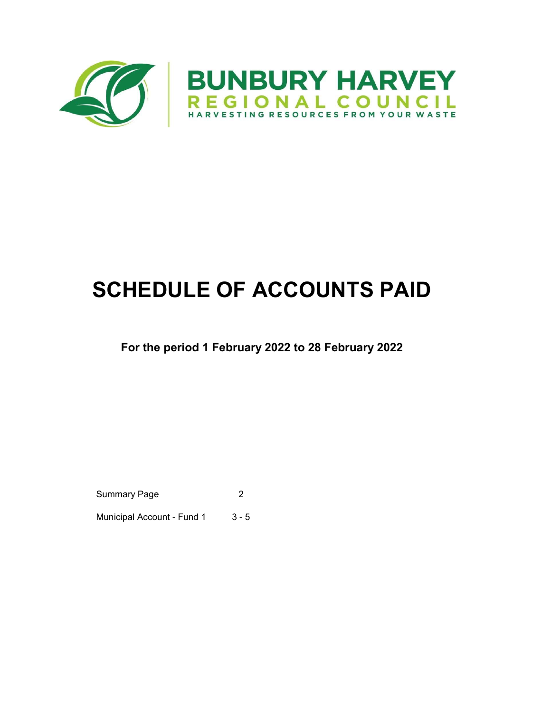

# SCHEDULE OF ACCOUNTS PAID

### For the period 1 February 2022 to 28 February 2022

Summary Page 2

Municipal Account - Fund 1 3 - 5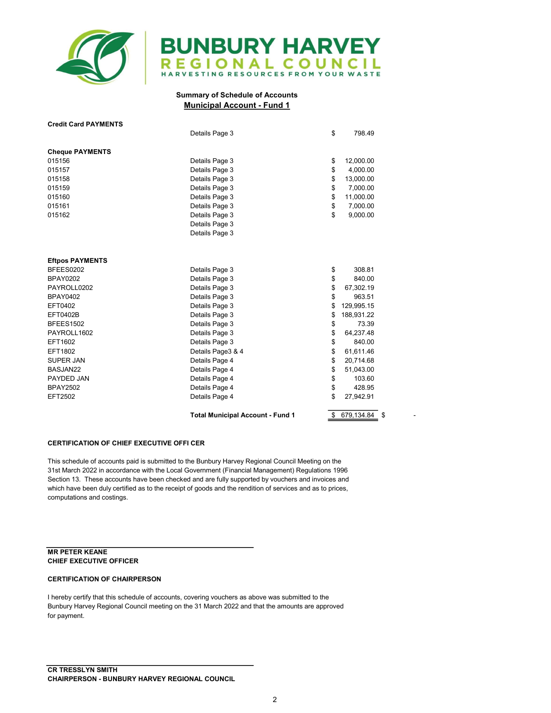

## **BUNBURY HARVEY** REGIONAL COUNCIL

#### Summary of Schedule of Accounts Municipal Account - Fund 1

| Details Page 3    | \$                                                 | 798.49                     |                        |
|-------------------|----------------------------------------------------|----------------------------|------------------------|
|                   |                                                    |                            |                        |
|                   |                                                    |                            |                        |
|                   | \$                                                 | 4,000.00                   |                        |
|                   | \$                                                 |                            |                        |
| Details Page 3    | \$                                                 | 7,000.00                   |                        |
| Details Page 3    | \$                                                 | 11,000.00                  |                        |
| Details Page 3    | \$                                                 | 7,000.00                   |                        |
| Details Page 3    | \$                                                 | 9,000.00                   |                        |
| Details Page 3    |                                                    |                            |                        |
| Details Page 3    |                                                    |                            |                        |
|                   |                                                    |                            |                        |
|                   |                                                    |                            |                        |
| Details Page 3    | \$                                                 | 308.81                     |                        |
| Details Page 3    | \$                                                 | 840.00                     |                        |
| Details Page 3    | \$                                                 | 67,302.19                  |                        |
| Details Page 3    | \$                                                 | 963.51                     |                        |
| Details Page 3    | \$                                                 | 129,995.15                 |                        |
| Details Page 3    | \$                                                 | 188,931.22                 |                        |
| Details Page 3    | \$                                                 | 73.39                      |                        |
| Details Page 3    | \$                                                 | 64,237.48                  |                        |
| Details Page 3    | \$                                                 | 840.00                     |                        |
| Details Page3 & 4 | \$                                                 | 61,611.46                  |                        |
| Details Page 4    | \$                                                 | 20,714.68                  |                        |
| Details Page 4    | \$                                                 | 51,043.00                  |                        |
| Details Page 4    | \$                                                 | 103.60                     |                        |
| Details Page 4    |                                                    | 428.95                     |                        |
|                   | \$                                                 | 27,942.91                  |                        |
|                   |                                                    |                            |                        |
|                   | Details Page 3<br>Details Page 3<br>Details Page 3 | \$<br>\$<br>Details Page 4 | 12,000.00<br>13,000.00 |

#### CERTIFICATION OF CHIEF EXECUTIVE OFFI CER

This schedule of accounts paid is submitted to the Bunbury Harvey Regional Council Meeting on the 31st March 2022 in accordance with the Local Government (Financial Management) Regulations 1996 Section 13. These accounts have been checked and are fully supported by vouchers and invoices and which have been duly certified as to the receipt of goods and the rendition of services and as to prices, computations and costings.

#### MR PETER KEANE CHIEF EXECUTIVE OFFICER

#### CERTIFICATION OF CHAIRPERSON

I hereby certify that this schedule of accounts, covering vouchers as above was submitted to the Bunbury Harvey Regional Council meeting on the 31 March 2022 and that the amounts are approved for payment.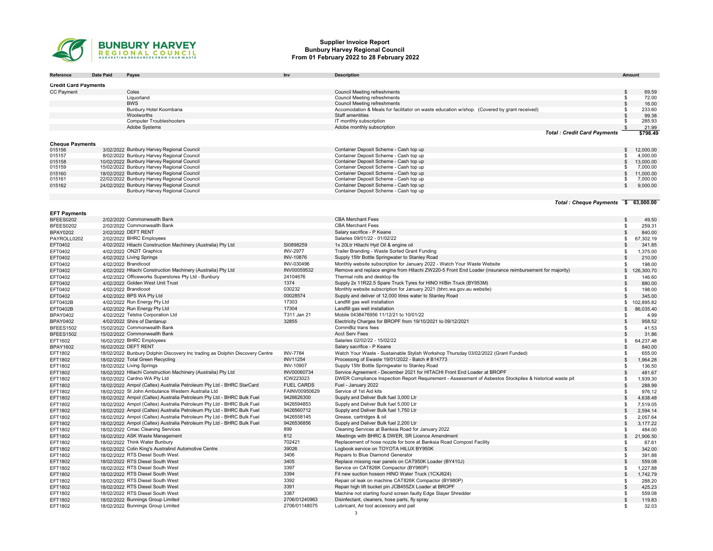

#### Supplier Invoice Report Bunbury Harvey Regional Council From 01 February 2022 to 28 February 2022

| Reference                   | <b>Date Paid</b> | Payee                                                                                    | Inv               | <b>Description</b>                                                                                       | Amount                      |                       |
|-----------------------------|------------------|------------------------------------------------------------------------------------------|-------------------|----------------------------------------------------------------------------------------------------------|-----------------------------|-----------------------|
| <b>Credit Card Payments</b> |                  |                                                                                          |                   |                                                                                                          |                             |                       |
|                             |                  | Coles                                                                                    |                   | <b>Council Meeting refreshments</b>                                                                      |                             |                       |
| <b>CC Payment</b>           |                  | Liquorland                                                                               |                   | <b>Council Meeting refreshments</b>                                                                      | $\mathfrak s$<br>\$         | 69.59<br>72.00        |
|                             |                  | <b>BWS</b>                                                                               |                   | <b>Council Meeting refreshments</b>                                                                      | $\mathfrak s$               | 16.00                 |
|                             |                  | Bunbury Hotel Koombana                                                                   |                   | Accomodation & Meals for facilitator on waste education w/shop. (Covered by grant received)              | -\$                         | 233.60                |
|                             |                  | Woolworths                                                                               |                   | Staff amentities                                                                                         | $\mathfrak{s}$              | 99.38                 |
|                             |                  | <b>Computer Troubleshooters</b>                                                          |                   | IT monthly subscription                                                                                  | -\$                         | 285.93                |
|                             |                  | Adobe Systems                                                                            |                   | Adobe monthly subscription                                                                               | - \$                        | 21.99                 |
|                             |                  |                                                                                          |                   | <b>Total: Credit Card Payments</b>                                                                       |                             | \$798.49              |
|                             |                  |                                                                                          |                   |                                                                                                          |                             |                       |
| <b>Cheque Payments</b>      |                  |                                                                                          |                   |                                                                                                          |                             |                       |
| 015156                      |                  | 3/02/2022 Bunbury Harvey Regional Council                                                |                   | Container Deposit Scheme - Cash top up                                                                   | \$                          | 12,000.00             |
| 015157                      |                  | 8/02/2022 Bunbury Harvey Regional Council                                                |                   | Container Deposit Scheme - Cash top up                                                                   |                             | 4,000.00              |
| 015158<br>015159            |                  | 10/02/2022 Bunbury Harvey Regional Council<br>15/02/2022 Bunbury Harvey Regional Council |                   | Container Deposit Scheme - Cash top up<br>Container Deposit Scheme - Cash top up                         | \$<br>-96                   | 13,000.00<br>7,000.00 |
| 015160                      |                  | 18/02/2022 Bunbury Harvey Regional Council                                               |                   | Container Deposit Scheme - Cash top up                                                                   | $\mathfrak{s}$              | 11,000.00             |
| 015161                      |                  | 22/02/2022 Bunbury Harvey Regional Council                                               |                   | Container Deposit Scheme - Cash top up                                                                   | -96                         | 7,000.00              |
| 015162                      |                  | 24/02/2022 Bunbury Harvey Regional Council                                               |                   | Container Deposit Scheme - Cash top up                                                                   | \$                          | 9,000.00              |
|                             |                  | Bunbury Harvey Regional Council                                                          |                   | Container Deposit Scheme - Cash top up                                                                   |                             |                       |
|                             |                  |                                                                                          |                   |                                                                                                          |                             |                       |
|                             |                  |                                                                                          |                   | Total: Cheque Payments \$ 63,000.00                                                                      |                             |                       |
|                             |                  |                                                                                          |                   |                                                                                                          |                             |                       |
| <b>EFT Payments</b>         |                  | 2/02/2022 Commonwealth Bank                                                              |                   | <b>CBA Merchant Fees</b>                                                                                 |                             |                       |
| BFEES0202<br>BFEES0202      |                  | 2/02/2022 Commonwealth Bank                                                              |                   | <b>CBA Merchant Fees</b>                                                                                 | \$                          | 49.50<br>259.31       |
|                             |                  | 2/02/2022 DEFT RENT                                                                      |                   | Salary sacrifice - P Keane                                                                               | \$<br>$\mathbf{s}$          | 840.00                |
| <b>BPAY0202</b>             |                  |                                                                                          |                   | Salaries 09/01/22 - 01/02/22                                                                             |                             |                       |
| PAYROLL0202                 |                  | 2/02/2022 BHRC Employees                                                                 | SI0898259         |                                                                                                          | 67,302.19<br>\$             |                       |
| EFT0402                     |                  | 4/02/2022 Hitachi Construction Machinery (Australia) Pty Ltd                             |                   | 1x 20Ltr Hitachi Hyd Oil & engine oil                                                                    |                             | 341.85                |
| EFT0402                     |                  | 4/02/2022 ON2IT Graphics                                                                 | <b>INV-2977</b>   | Trailer Branding - Waste Sorted Grant Funding                                                            | \$                          | 1,375.00              |
| EFT0402                     |                  | 4/02/2022 Living Springs                                                                 | <b>INV-10876</b>  | Supply 15ltr Bottle Springwater to Stanley Road                                                          | $\mathfrak{s}$              | 210.00                |
| EFT0402                     |                  | 4/02/2022 Brandicoot                                                                     | INV-030496        | Monthly website subscription for January 2022 - Watch Your Waste Website                                 | \$                          | 198.00                |
| EFT0402                     |                  | 4/02/2022 Hitachi Construction Machinery (Australia) Pty Ltd                             | INV00059532       | Remove and replace engine from Hitachi ZW220-5 Front End Loader (insurance reimbursement for majority)   | 126,300.70<br>$\mathfrak s$ |                       |
| EFT0402                     |                  | 4/02/2022 Officeworks Superstores Pty Ltd - Bunbury                                      | 24104676          | Thermal rolls and desktop file                                                                           | -\$                         | 146.60                |
| EFT0402                     |                  | 4/02/2022 Golden West Unit Trust                                                         | 1374              | Supply 2x 11R22.5 Spare Truck Tyres for HINO H/Bin Truck (BY953M)                                        | \$                          | 880.00                |
| EFT0402                     |                  | 4/02/2022 Brandicoot                                                                     | 030232            | Monthly website subscription for January 2021 (bhrc.wa.gov.au website)                                   | -\$                         | 198.00                |
| EFT0402                     |                  | 4/02/2022 BPS WA Pty Ltd                                                                 | 00028574          | Supply and deliver of 12,000 litres water to Stanley Road                                                | $\mathbb{S}$                | 345.00                |
| EFT0402B                    |                  | 4/02/2022 Run Energy Pty Ltd                                                             | 17303             | Landfill gas well installation                                                                           | 102,895.82<br>\$            |                       |
| EFT0402B                    |                  | 4/02/2022 Run Energy Pty Ltd                                                             | 17304             | Landfill gas well installation                                                                           | 86,035.40<br>\$             |                       |
| BPAY0402                    |                  | 4/02/2022 Telstra Corporation Ltd                                                        | T311 Jan 21       | Mobile 0438476956 11/12/21 to 10/01/22                                                                   | \$                          | 4.99                  |
| <b>BPAY0402</b>             |                  | 4/02/2022 Shire of Dardanup                                                              | 32855             | Electricity Charges for BROPF from 19/10/2021 to 09/12/2021                                              | $\mathfrak{L}$              | 958.52                |
| BFEES1502                   |                  | 15/02/2022 Commonwealth Bank                                                             |                   | CommBiz trans fees                                                                                       | \$                          | 41.53                 |
| BFEES1502                   |                  | 15/02/2022 Commonwealth Bank                                                             |                   | <b>Acct Serv Fees</b>                                                                                    | \$                          | 31.86                 |
| EFT1602                     |                  | 16/02/2022 BHRC Employees                                                                |                   | Salaries 02/02/22 - 15/02/22                                                                             | 64,237.48<br>\$             |                       |
| <b>BPAY1602</b>             |                  | 16/02/2022 DEFT RENT                                                                     |                   | Salary sacrifice - P Keane                                                                               | $\mathfrak s$               | 840.00                |
| EFT1802                     |                  | 18/02/2022 Bunbury Dolphin Discovery Inc trading as Dolphin Discovery Centre             | <b>INV-7784</b>   | Watch Your Waste - Sustainable Stylish Workshop Thursday 03/02/2022 (Grant Funded)                       | \$                          | 655.00                |
| EFT1802                     |                  | 18/02/2022 Total Green Recycling                                                         | <b>INV11254</b>   | Processing of Ewaste 19/01/2022 - Batch # B14773                                                         | $\mathfrak s$               | 1,964.28              |
| EFT1802                     |                  | 18/02/2022 Living Springs                                                                | <b>INV-10907</b>  | Supply 15ltr Bottle Springwater to Stanley Road                                                          | $\mathfrak{s}$              | 136.50                |
| EFT1802                     |                  | 18/02/2022 Hitachi Construction Machinery (Australia) Pty Ltd                            | INV00060734       | Service Agreement - December 2021 for HITACHI Front End Loader at BROPF                                  | \$                          | 481.67                |
| EFT1802                     |                  | 18/02/2022 Cardno WA Pty Ltd                                                             | ICW223023         | DWER Compliance Inspection Report Requirement - Assessment of Asbestos Stockpiles & historical waste pit | \$                          | 1,939.30              |
| EFT1802                     |                  | 18/02/2022 Ampol (Caltex) Australia Petroleum Pty Ltd - BHRC StarCard                    | <b>FUEL CARDS</b> | Fuel - January 2022                                                                                      | $\mathfrak{s}$              | 288.99                |
| EFT1802                     |                  | 18/02/2022 St John Ambulance Western Australia Ltd                                       | FAINV00950629     | Service of 1st Aid kits                                                                                  | \$                          | 976.12                |
| EFT1802                     |                  | 18/02/2022 Ampol (Caltex) Australia Petroleum Pty Ltd - BHRC Bulk Fuel                   | 9426626300        | Supply and Deliver Bulk fuel 3,000 Ltr                                                                   | $\mathfrak s$               | 4,638.48              |
| EFT1802                     |                  | 18/02/2022 Ampol (Caltex) Australia Petroleum Pty Ltd - BHRC Bulk Fuel                   | 9426594853        | Supply and Deliver Bulk fuel 5,000 Ltr                                                                   | \$                          | 7,519.05              |
| EFT1802                     |                  | 18/02/2022 Ampol (Caltex) Australia Petroleum Pty Ltd - BHRC Bulk Fuel                   | 9426560712        | Supply and Deliver Bulk fuel 1,750 Ltr                                                                   | $\mathbf{s}$                | 2,594.14              |
| EFT1802                     |                  | 18/02/2022 Ampol (Caltex) Australia Petroleum Pty Ltd - BHRC Bulk Fuel                   | 9426558145        | Grease, cartridges & oil                                                                                 | -\$                         | 2,057.64              |
| EFT1802                     |                  | 18/02/2022 Ampol (Caltex) Australia Petroleum Pty Ltd - BHRC Bulk Fuel                   | 9426536856        | Supply and Deliver Bulk fuel 2,200 Ltr                                                                   | $\mathfrak s$               | 3,177.22              |
| EFT1802                     |                  | 18/02/2022 Cmac Cleaning Services                                                        | 899               | Cleaning Services at Banksia Road for January 2022                                                       | \$                          | 484.00                |
| EFT1802                     |                  | 18/02/2022 ASK Waste Management                                                          | 812               | Meetings with BHRC & DWER, SR Licence Amendment                                                          | 21,906.50<br>\$             |                       |
| EFT1802                     |                  | 18/02/2022 Think Water Bunbury                                                           | 702421            | Replacement of hose nozzle for bore at Banksia Road Compost Facility                                     | \$                          | 67.61                 |
| EFT1802                     |                  | 18/02/2022 Colin King's Australind Automotive Centre                                     | 39026             | Logbook service on TOYOTA HILUX BY950K                                                                   | $\mathfrak s$               | 342.00                |
| EFT1802                     |                  | 18/02/2022 RTS Diesel South West                                                         | 3406              | Repairs to Blue Diamond Generator                                                                        | \$                          | 391.88                |
| EFT1802                     |                  | 18/02/2022 RTS Diesel South West                                                         | 3405              | Replace missing rear panels on CAT950K Loader (BY410J)                                                   | $\mathfrak s$               | 559.08                |
| EFT1802                     |                  | 18/02/2022 RTS Diesel South West                                                         | 3397              | Service on CAT826K Compactor (BY980P)                                                                    | \$                          | 1,227.88              |
| EFT1802                     |                  | 18/02/2022 RTS Diesel South West                                                         | 3394              | Fit new suction hoseon HINO Water Truck (1CXJ624)                                                        | $\mathbb{S}$                | 1,742.79              |
| EFT1802                     |                  | 18/02/2022 RTS Diesel South West                                                         | 3392              | Repair oil leak on machine CAT826K Compactor (BY980P)                                                    | \$                          | 288.20                |
| EFT1802                     |                  | 18/02/2022 RTS Diesel South West                                                         | 3391              | Repair high lift bucket pin JCB455ZX Loader at BROPF                                                     | $\mathbb{S}$                | 425.23                |
| EFT1802                     |                  | 18/02/2022 RTS Diesel South West                                                         | 3387              | Machine not starting found screen faulty Edge Slayer Shredder                                            | \$                          | 559.08                |
| EFT1802                     |                  | 18/02/2022 Bunnings Group Limited                                                        | 2706/01240963     | Disinfectant, cleaners, hose parts, fly spray                                                            | \$                          | 119.83                |
| EFT1802                     |                  | 18/02/2022 Bunnings Group Limited                                                        | 2706/01148075     | Lubricant, Air tool accessory and pail                                                                   | -\$                         | 32.03                 |
|                             |                  |                                                                                          |                   | 3                                                                                                        |                             |                       |